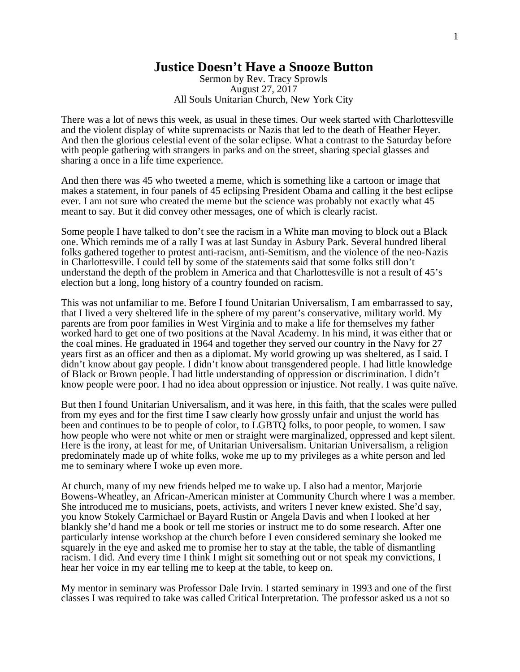# **Justice Doesn't Have a Snooze Button**

Sermon by Rev. Tracy Sprowls August 27, 2017 All Souls Unitarian Church, New York City

There was a lot of news this week, as usual in these times. Our week started with Charlottesville and the violent display of white supremacists or Nazis that led to the death of Heather Heyer. And then the glorious celestial event of the solar eclipse. What a contrast to the Saturday before with people gathering with strangers in parks and on the street, sharing special glasses and sharing a once in a life time experience.

And then there was 45 who tweeted a meme, which is something like a cartoon or image that makes a statement, in four panels of 45 eclipsing President Obama and calling it the best eclipse ever. I am not sure who created the meme but the science was probably not exactly what 45 meant to say. But it did convey other messages, one of which is clearly racist.

Some people I have talked to don't see the racism in a White man moving to block out a Black one. Which reminds me of a rally I was at last Sunday in Asbury Park. Several hundred liberal folks gathered together to protest anti-racism, anti-Semitism, and the violence of the neo-Nazis in Charlottesville. I could tell by some of the statements said that some folks still don't understand the depth of the problem in America and that Charlottesville is not a result of 45's election but a long, long history of a country founded on racism.

This was not unfamiliar to me. Before I found Unitarian Universalism, I am embarrassed to say, that I lived a very sheltered life in the sphere of my parent's conservative, military world. My parents are from poor families in West Virginia and to make a life for themselves my father worked hard to get one of two positions at the Naval Academy. In his mind, it was either that or the coal mines. He graduated in 1964 and together they served our country in the Navy for 27 years first as an officer and then as a diplomat. My world growing up was sheltered, as I said. I didn't know about gay people. I didn't know about transgendered people. I had little knowledge of Black or Brown people. I had little understanding of oppression or discrimination. I didn't know people were poor. I had no idea about oppression or injustice. Not really. I was quite naïve.

But then I found Unitarian Universalism, and it was here, in this faith, that the scales were pulled from my eyes and for the first time I saw clearly how grossly unfair and unjust the world has been and continues to be to people of color, to LGBTQ folks, to poor people, to women. I saw how people who were not white or men or straight were marginalized, oppressed and kept silent. Here is the irony, at least for me, of Unitarian Universalism. Unitarian Universalism, a religion predominately made up of white folks, woke me up to my privileges as a white person and led me to seminary where I woke up even more.

At church, many of my new friends helped me to wake up. I also had a mentor, Marjorie Bowens-Wheatley, an African-American minister at Community Church where I was a member. She introduced me to musicians, poets, activists, and writers I never knew existed. She'd say, you know Stokely Carmichael or Bayard Rustin or Angela Davis and when I looked at her blankly she'd hand me a book or tell me stories or instruct me to do some research. After one particularly intense workshop at the church before I even considered seminary she looked me squarely in the eye and asked me to promise her to stay at the table, the table of dismantling racism. I did. And every time I think I might sit something out or not speak my convictions, I hear her voice in my ear telling me to keep at the table, to keep on.

My mentor in seminary was Professor Dale Irvin. I started seminary in 1993 and one of the first classes I was required to take was called Critical Interpretation. The professor asked us a not so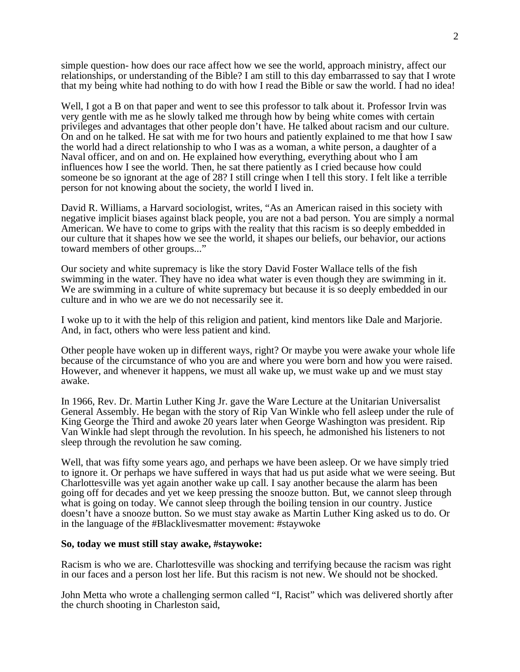simple question- how does our race affect how we see the world, approach ministry, affect our relationships, or understanding of the Bible? I am still to this day embarrassed to say that I wrote that my being white had nothing to do with how I read the Bible or saw the world. I had no idea!

Well, I got a B on that paper and went to see this professor to talk about it. Professor Irvin was very gentle with me as he slowly talked me through how by being white comes with certain privileges and advantages that other people don't have. He talked about racism and our culture. On and on he talked. He sat with me for two hours and patiently explained to me that how I saw the world had a direct relationship to who I was as a woman, a white person, a daughter of a Naval officer, and on and on. He explained how everything, everything about who I am influences how I see the world. Then, he sat there patiently as I cried because how could someone be so ignorant at the age of 28? I still cringe when I tell this story. I felt like a terrible person for not knowing about the society, the world I lived in.

David R. Williams, a Harvard sociologist, writes, "As an American raised in this society with negative implicit biases against black people, you are not a bad person. You are simply a normal American. We have to come to grips with the reality that this racism is so deeply embedded in our culture that it shapes how we see the world, it shapes our beliefs, our behavior, our actions toward members of other groups..."

Our society and white supremacy is like the story David Foster Wallace tells of the fish swimming in the water. They have no idea what water is even though they are swimming in it. We are swimming in a culture of white supremacy but because it is so deeply embedded in our culture and in who we are we do not necessarily see it.

I woke up to it with the help of this religion and patient, kind mentors like Dale and Marjorie. And, in fact, others who were less patient and kind.

Other people have woken up in different ways, right? Or maybe you were awake your whole life because of the circumstance of who you are and where you were born and how you were raised. However, and whenever it happens, we must all wake up, we must wake up and we must stay awake.

In 1966, Rev. Dr. Martin Luther King Jr. gave the Ware Lecture at the Unitarian Universalist General Assembly. He began with the story of Rip Van Winkle who fell asleep under the rule of King George the Third and awoke 20 years later when George Washington was president. Rip Van Winkle had slept through the revolution. In his speech, he admonished his listeners to not sleep through the revolution he saw coming.

Well, that was fifty some years ago, and perhaps we have been asleep. Or we have simply tried to ignore it. Or perhaps we have suffered in ways that had us put aside what we were seeing. But Charlottesville was yet again another wake up call. I say another because the alarm has been going off for decades and yet we keep pressing the snooze button. But, we cannot sleep through what is going on today. We cannot sleep through the boiling tension in our country. Justice doesn't have a snooze button. So we must stay awake as Martin Luther King asked us to do. Or in the language of the #Blacklivesmatter movement: #staywoke

#### **So, today we must still stay awake, #staywoke:**

Racism is who we are. Charlottesville was shocking and terrifying because the racism was right in our faces and a person lost her life. But this racism is not new. We should not be shocked.

John Metta who wrote a challenging sermon called "I, Racist" which was delivered shortly after the church shooting in Charleston said,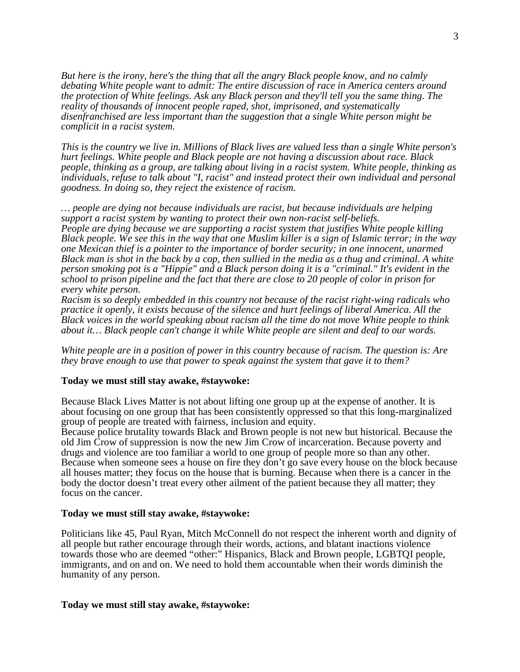*But here is the irony, here's the thing that all the angry Black people know, and no calmly debating White people want to admit: The entire discussion of race in America centers around the protection of White feelings. Ask any Black person and they'll tell you the same thing. The reality of thousands of innocent people raped, shot, imprisoned, and systematically disenfranchised are less important than the suggestion that a single White person might be complicit in a racist system.*

*This is the country we live in. Millions of Black lives are valued less than a single White person's hurt feelings. White people and Black people are not having a discussion about race. Black people, thinking as a group, are talking about living in a racist system. White people, thinking as individuals, refuse to talk about "I, racist" and instead protect their own individual and personal goodness. In doing so, they reject the existence of racism.*

*… people are dying not because individuals are racist, but because individuals are helping support a racist system by wanting to protect their own non-racist self-beliefs. People are dying because we are supporting a racist system that justifies White people killing Black people. We see this in the way that one Muslim killer is a sign of Islamic terror; in the way one Mexican thief is a pointer to the importance of border security; in one innocent, unarmed Black man is shot in the back by a cop, then sullied in the media as a thug and criminal. A white person smoking pot is a "Hippie" and a Black person doing it is a "criminal." It's evident in the school to prison pipeline and the fact that there are close to 20 people of color in prison for every white person.*

*Racism is so deeply embedded in this country not because of the racist right-wing radicals who practice it openly, it exists because of the silence and hurt feelings of liberal America. All the Black voices in the world speaking about racism all the time do not move White people to think about it… Black people can't change it while White people are silent and deaf to our words.*

*White people are in a position of power in this country because of racism. The question is: Are they brave enough to use that power to speak against the system that gave it to them?*

## **Today we must still stay awake, #staywoke:**

Because Black Lives Matter is not about lifting one group up at the expense of another. It is about focusing on one group that has been consistently oppressed so that this long-marginalized group of people are treated with fairness, inclusion and equity.

Because police brutality towards Black and Brown people is not new but historical. Because the old Jim Crow of suppression is now the new Jim Crow of incarceration. Because poverty and drugs and violence are too familiar a world to one group of people more so than any other. Because when someone sees a house on fire they don't go save every house on the block because all houses matter; they focus on the house that is burning. Because when there is a cancer in the body the doctor doesn't treat every other ailment of the patient because they all matter; they focus on the cancer.

#### **Today we must still stay awake, #staywoke:**

Politicians like 45, Paul Ryan, Mitch McConnell do not respect the inherent worth and dignity of all people but rather encourage through their words, actions, and blatant inactions violence towards those who are deemed "other:" Hispanics, Black and Brown people, LGBTQI people, immigrants, and on and on. We need to hold them accountable when their words diminish the humanity of any person.

#### **Today we must still stay awake, #staywoke:**